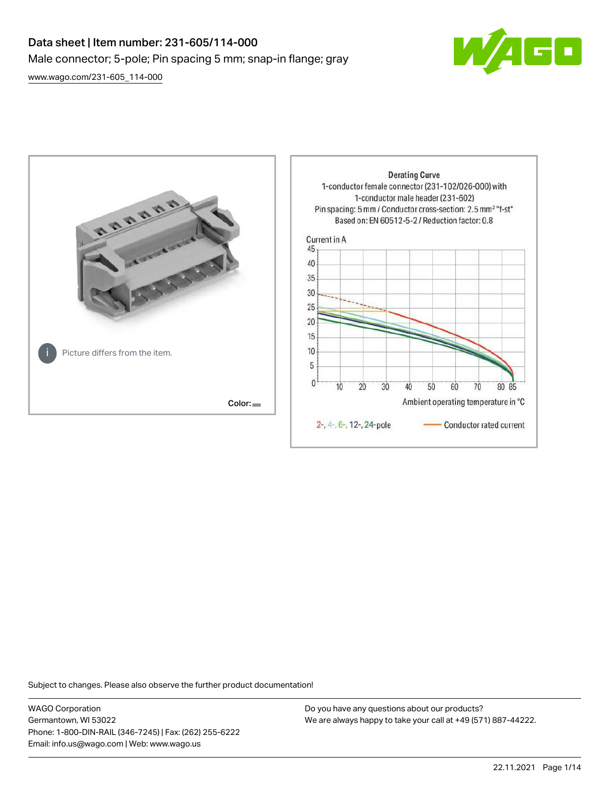# Data sheet | Item number: 231-605/114-000 Male connector; 5-pole; Pin spacing 5 mm; snap-in flange; gray [www.wago.com/231-605\\_114-000](http://www.wago.com/231-605_114-000)

 $\boxed{\blacksquare}$ 



Subject to changes. Please also observe the further product documentation!

WAGO Corporation Germantown, WI 53022 Phone: 1-800-DIN-RAIL (346-7245) | Fax: (262) 255-6222 Email: info.us@wago.com | Web: www.wago.us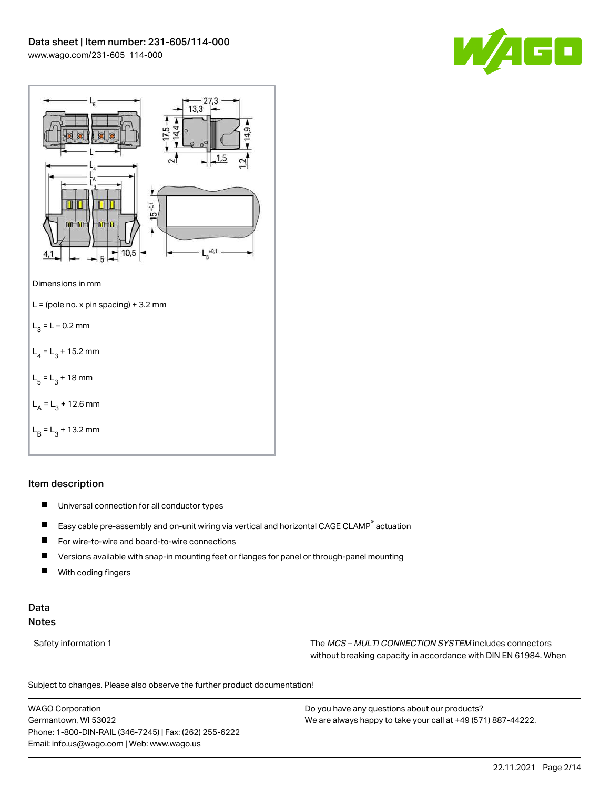



### Item description

- $\blacksquare$ Universal connection for all conductor types
- $\blacksquare$ Easy cable pre-assembly and on-unit wiring via vertical and horizontal CAGE CLAMP® actuation
- $\blacksquare$ For wire-to-wire and board-to-wire connections
- $\blacksquare$ Versions available with snap-in mounting feet or flanges for panel or through-panel mounting
- П With coding fingers

### Data Notes

Safety information 1 The MCS – MULTI CONNECTION SYSTEM includes connectors without breaking capacity in accordance with DIN EN 61984. When

Subject to changes. Please also observe the further product documentation!  $\mathbf{u}$ 

WAGO Corporation Germantown, WI 53022 Phone: 1-800-DIN-RAIL (346-7245) | Fax: (262) 255-6222 Email: info.us@wago.com | Web: www.wago.us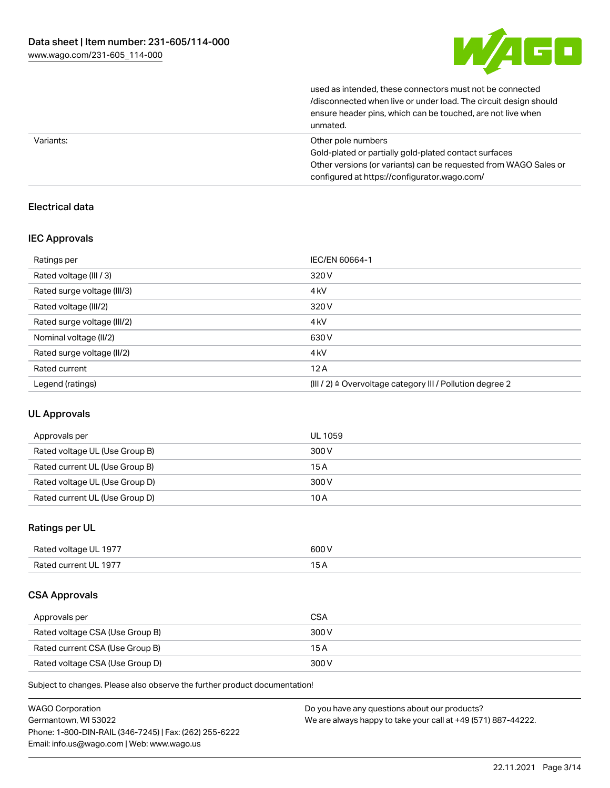

| unmated.                                                         |
|------------------------------------------------------------------|
| ensure header pins, which can be touched, are not live when      |
| /disconnected when live or under load. The circuit design should |
| used as intended, these connectors must not be connected         |

| Variants: | Other pole numbers                                               |
|-----------|------------------------------------------------------------------|
|           | Gold-plated or partially gold-plated contact surfaces            |
|           | Other versions (or variants) can be requested from WAGO Sales or |
|           | configured at https://configurator.wago.com/                     |

### Electrical data

### IEC Approvals

| Ratings per                 | IEC/EN 60664-1                                                       |
|-----------------------------|----------------------------------------------------------------------|
| Rated voltage (III / 3)     | 320 V                                                                |
| Rated surge voltage (III/3) | 4 <sub>kV</sub>                                                      |
| Rated voltage (III/2)       | 320 V                                                                |
| Rated surge voltage (III/2) | 4 <sub>k</sub> V                                                     |
| Nominal voltage (II/2)      | 630 V                                                                |
| Rated surge voltage (II/2)  | 4 <sub>k</sub> V                                                     |
| Rated current               | 12A                                                                  |
| Legend (ratings)            | (III / 2) $\triangleq$ Overvoltage category III / Pollution degree 2 |

### UL Approvals

| Approvals per                  | UL 1059 |
|--------------------------------|---------|
| Rated voltage UL (Use Group B) | 300 V   |
| Rated current UL (Use Group B) | 15 A    |
| Rated voltage UL (Use Group D) | 300 V   |
| Rated current UL (Use Group D) | 10 A    |

### Ratings per UL

| Rated voltage UL 1977 | 600 V |
|-----------------------|-------|
| Rated current UL 1977 |       |

### CSA Approvals

| Approvals per                   | <b>CSA</b> |
|---------------------------------|------------|
| Rated voltage CSA (Use Group B) | 300 V      |
| Rated current CSA (Use Group B) | 15 A       |
| Rated voltage CSA (Use Group D) | 300 V      |

Subject to changes. Please also observe the further product documentation!

| <b>WAGO Corporation</b>                                | Do you have any questions about our products?                 |
|--------------------------------------------------------|---------------------------------------------------------------|
| Germantown, WI 53022                                   | We are always happy to take your call at +49 (571) 887-44222. |
| Phone: 1-800-DIN-RAIL (346-7245)   Fax: (262) 255-6222 |                                                               |
| Email: info.us@wago.com   Web: www.wago.us             |                                                               |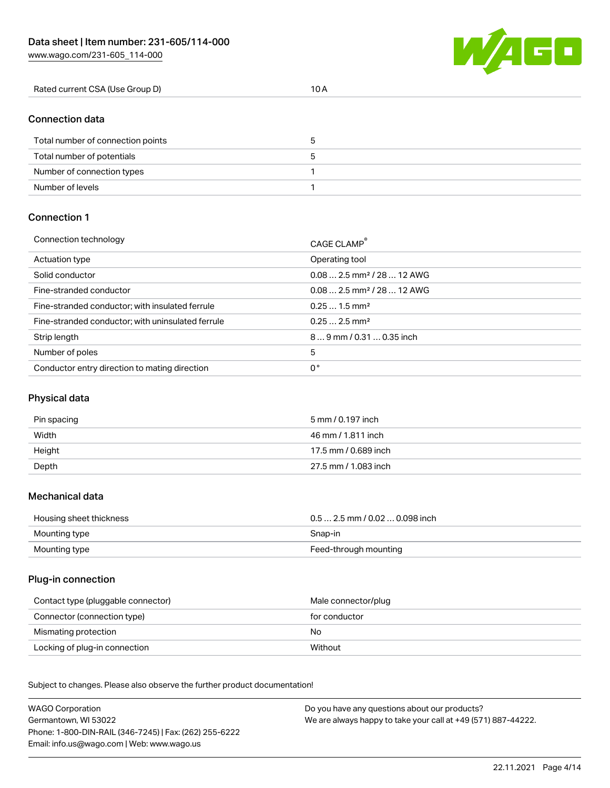W/4GO

| Rated current CSA (Use Group D)<br>. |
|--------------------------------------|
|--------------------------------------|

# Connection data

| Total number of connection points |  |
|-----------------------------------|--|
| Total number of potentials        |  |
| Number of connection types        |  |
| Number of levels                  |  |

### Connection 1

| Connection technology                             | CAGE CLAMP®                            |
|---------------------------------------------------|----------------------------------------|
| Actuation type                                    | Operating tool                         |
| Solid conductor                                   | $0.082.5$ mm <sup>2</sup> / 28  12 AWG |
| Fine-stranded conductor                           | $0.082.5$ mm <sup>2</sup> / 28  12 AWG |
| Fine-stranded conductor; with insulated ferrule   | $0.251.5$ mm <sup>2</sup>              |
| Fine-stranded conductor; with uninsulated ferrule | $0.252.5$ mm <sup>2</sup>              |
| Strip length                                      | 89 mm / 0.31  0.35 inch                |
| Number of poles                                   | 5                                      |
| Conductor entry direction to mating direction     | 0°                                     |

# Physical data

| Pin spacing | 5 mm / 0.197 inch    |
|-------------|----------------------|
| Width       | 46 mm / 1.811 inch   |
| Height      | 17.5 mm / 0.689 inch |
| Depth       | 27.5 mm / 1.083 inch |

#### Mechanical data

| Housing sheet thickness | $0.5$ 2.5 mm / 0.02  0.098 inch |
|-------------------------|---------------------------------|
| Mounting type           | Snap-in                         |
| Mounting type           | Feed-through mounting           |

### Plug-in connection

| Contact type (pluggable connector) | Male connector/plug |
|------------------------------------|---------------------|
| Connector (connection type)        | for conductor       |
| Mismating protection               | No                  |
| Locking of plug-in connection      | Without             |

Subject to changes. Please also observe the further product documentation! Material data

| <b>WAGO Corporation</b>                                | Do you have any questions about our products?                 |
|--------------------------------------------------------|---------------------------------------------------------------|
| Germantown, WI 53022                                   | We are always happy to take your call at +49 (571) 887-44222. |
| Phone: 1-800-DIN-RAIL (346-7245)   Fax: (262) 255-6222 |                                                               |
| Email: info.us@wago.com   Web: www.wago.us             |                                                               |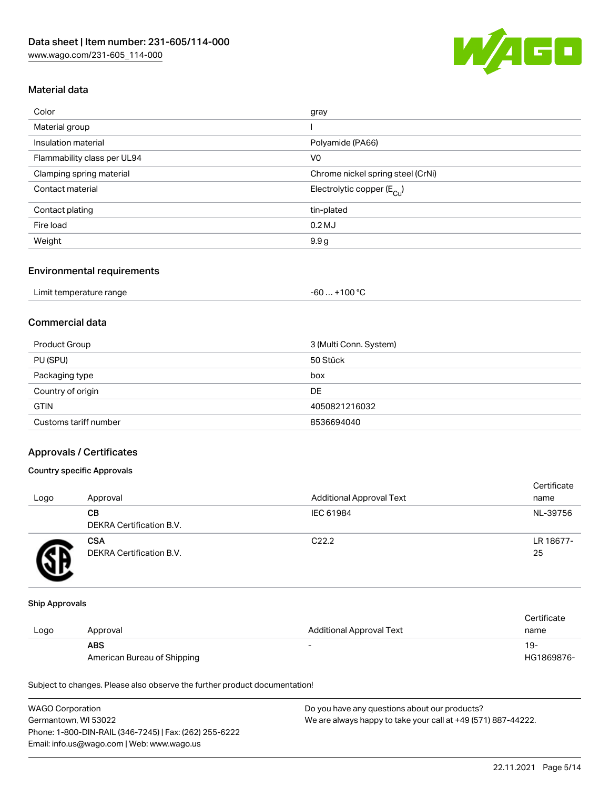

### Material data

| Color                       | gray                                  |
|-----------------------------|---------------------------------------|
| Material group              |                                       |
| Insulation material         | Polyamide (PA66)                      |
| Flammability class per UL94 | V <sub>0</sub>                        |
| Clamping spring material    | Chrome nickel spring steel (CrNi)     |
| Contact material            | Electrolytic copper $(E_{\text{Cl}})$ |
| Contact plating             | tin-plated                            |
| Fire load                   | $0.2$ MJ                              |
| Weight                      | 9.9 <sub>g</sub>                      |
|                             |                                       |

#### Environmental requirements

| Limit temperature range | . +100 °C<br>$-60$ |
|-------------------------|--------------------|
|-------------------------|--------------------|

# Commercial data

| Product Group         | 3 (Multi Conn. System) |
|-----------------------|------------------------|
| PU (SPU)              | 50 Stück               |
| Packaging type        | box                    |
| Country of origin     | DE                     |
| <b>GTIN</b>           | 4050821216032          |
| Customs tariff number | 8536694040             |

### Approvals / Certificates

### Country specific Approvals

| Logo | Approval                               | <b>Additional Approval Text</b> | Certificate<br>name |
|------|----------------------------------------|---------------------------------|---------------------|
|      | CВ<br>DEKRA Certification B.V.         | IEC 61984                       | NL-39756            |
|      | <b>CSA</b><br>DEKRA Certification B.V. | C <sub>22.2</sub>               | LR 18677-<br>25     |

#### Ship Approvals

|      |                             |                          | Certificate |
|------|-----------------------------|--------------------------|-------------|
| Logo | Approval                    | Additional Approval Text | name        |
|      | <b>ABS</b>                  | -                        | $19-$       |
|      | American Bureau of Shipping |                          | HG1869876-  |

Subject to changes. Please also observe the further product documentation!

| <b>WAGO Corporation</b>                                | Do you have any questions about our products?                 |
|--------------------------------------------------------|---------------------------------------------------------------|
| Germantown, WI 53022                                   | We are always happy to take your call at +49 (571) 887-44222. |
| Phone: 1-800-DIN-RAIL (346-7245)   Fax: (262) 255-6222 |                                                               |
| Email: info.us@wago.com   Web: www.wago.us             |                                                               |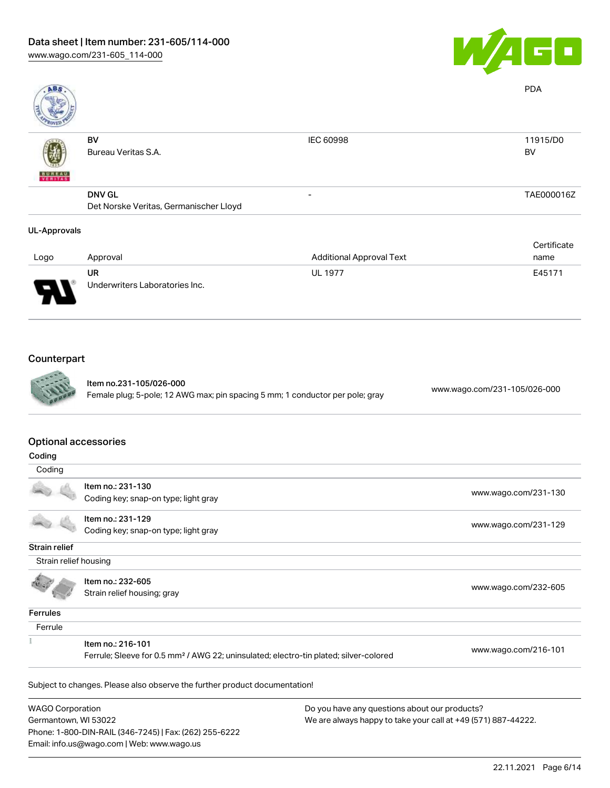

| ABS                 |                                        |                                 | <b>PDA</b>  |
|---------------------|----------------------------------------|---------------------------------|-------------|
|                     | BV                                     | <b>IEC 60998</b>                | 11915/D0    |
|                     | Bureau Veritas S.A.                    |                                 | BV          |
| <b>BUREAU</b>       |                                        |                                 |             |
|                     | <b>DNV GL</b>                          | -                               | TAE000016Z  |
|                     | Det Norske Veritas, Germanischer Lloyd |                                 |             |
| <b>UL-Approvals</b> |                                        |                                 |             |
|                     |                                        |                                 | Certificate |
| Logo                | Approval                               | <b>Additional Approval Text</b> | name        |
|                     | <b>UR</b>                              | <b>UL 1977</b>                  | E45171      |
|                     | Underwriters Laboratories Inc.         |                                 |             |

# Counterpart



Item no.231-105/026-000 Female plug; 5-pole; 12 AWG max; pin spacing 5 mm; 1 conductor per pole; gray [www.wago.com/231-105/026-000](https://www.wago.com/231-105/026-000)

### Optional accessories

Email: info.us@wago.com | Web: www.wago.us

| -------                                                                                           |                                                                            |                                                               |                      |
|---------------------------------------------------------------------------------------------------|----------------------------------------------------------------------------|---------------------------------------------------------------|----------------------|
| Coding                                                                                            |                                                                            |                                                               |                      |
|                                                                                                   | Item no.: 231-130                                                          |                                                               |                      |
|                                                                                                   | Coding key; snap-on type; light gray                                       |                                                               | www.wago.com/231-130 |
|                                                                                                   | Item no.: 231-129                                                          |                                                               |                      |
|                                                                                                   | Coding key; snap-on type; light gray                                       |                                                               | www.wago.com/231-129 |
| <b>Strain relief</b>                                                                              |                                                                            |                                                               |                      |
| Strain relief housing                                                                             |                                                                            |                                                               |                      |
|                                                                                                   | Item no.: 232-605                                                          |                                                               |                      |
|                                                                                                   | Strain relief housing; gray                                                |                                                               | www.wago.com/232-605 |
| Ferrules                                                                                          |                                                                            |                                                               |                      |
| Ferrule                                                                                           |                                                                            |                                                               |                      |
|                                                                                                   | Item no.: 216-101                                                          |                                                               |                      |
| Ferrule; Sleeve for 0.5 mm <sup>2</sup> / AWG 22; uninsulated; electro-tin plated; silver-colored |                                                                            | www.wago.com/216-101                                          |                      |
|                                                                                                   | Subject to changes. Please also observe the further product documentation! |                                                               |                      |
| <b>WAGO Corporation</b>                                                                           |                                                                            | Do you have any questions about our products?                 |                      |
| Germantown, WI 53022                                                                              |                                                                            | We are always happy to take your call at +49 (571) 887-44222. |                      |
|                                                                                                   | Phone: 1-800-DIN-RAIL (346-7245)   Fax: (262) 255-6222                     |                                                               |                      |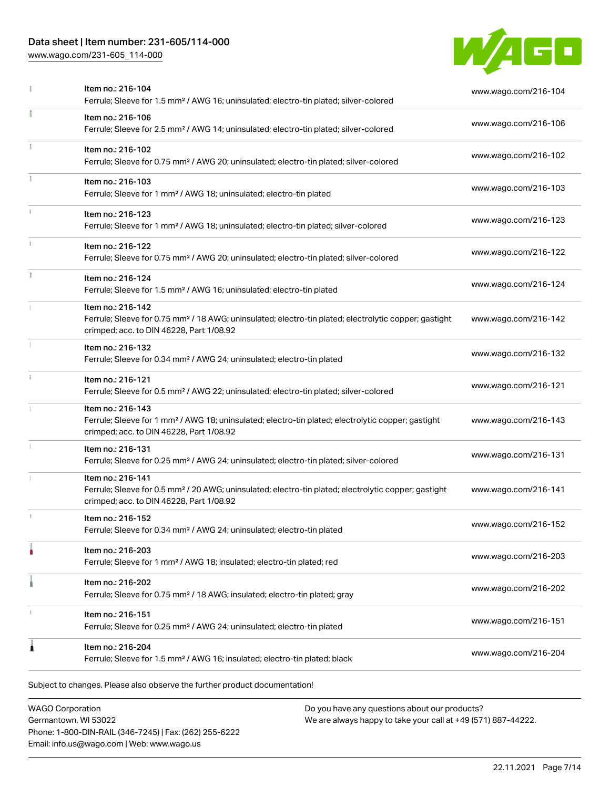# Data sheet | Item number: 231-605/114-000

[www.wago.com/231-605\\_114-000](http://www.wago.com/231-605_114-000)



|               | Item no.: 216-104<br>Ferrule; Sleeve for 1.5 mm <sup>2</sup> / AWG 16; uninsulated; electro-tin plated; silver-colored                                                             | www.wago.com/216-104 |
|---------------|------------------------------------------------------------------------------------------------------------------------------------------------------------------------------------|----------------------|
|               | Item no.: 216-106<br>Ferrule; Sleeve for 2.5 mm <sup>2</sup> / AWG 14; uninsulated; electro-tin plated; silver-colored                                                             | www.wago.com/216-106 |
|               | Item no.: 216-102<br>Ferrule; Sleeve for 0.75 mm <sup>2</sup> / AWG 20; uninsulated; electro-tin plated; silver-colored                                                            | www.wago.com/216-102 |
|               | Item no.: 216-103<br>Ferrule; Sleeve for 1 mm <sup>2</sup> / AWG 18; uninsulated; electro-tin plated                                                                               | www.wago.com/216-103 |
|               | Item no.: 216-123<br>Ferrule; Sleeve for 1 mm <sup>2</sup> / AWG 18; uninsulated; electro-tin plated; silver-colored                                                               | www.wago.com/216-123 |
|               | Item no.: 216-122<br>Ferrule; Sleeve for 0.75 mm <sup>2</sup> / AWG 20; uninsulated; electro-tin plated; silver-colored                                                            | www.wago.com/216-122 |
| I.            | Item no.: 216-124<br>Ferrule; Sleeve for 1.5 mm <sup>2</sup> / AWG 16; uninsulated; electro-tin plated                                                                             | www.wago.com/216-124 |
|               | Item no.: 216-142<br>Ferrule; Sleeve for 0.75 mm <sup>2</sup> / 18 AWG; uninsulated; electro-tin plated; electrolytic copper; gastight<br>crimped; acc. to DIN 46228, Part 1/08.92 | www.wago.com/216-142 |
|               | Item no.: 216-132<br>Ferrule; Sleeve for 0.34 mm <sup>2</sup> / AWG 24; uninsulated; electro-tin plated                                                                            | www.wago.com/216-132 |
| $\frac{1}{3}$ | Item no.: 216-121<br>Ferrule; Sleeve for 0.5 mm <sup>2</sup> / AWG 22; uninsulated; electro-tin plated; silver-colored                                                             | www.wago.com/216-121 |
|               | Item no.: 216-143<br>Ferrule; Sleeve for 1 mm <sup>2</sup> / AWG 18; uninsulated; electro-tin plated; electrolytic copper; gastight<br>crimped; acc. to DIN 46228, Part 1/08.92    | www.wago.com/216-143 |
|               | Item no.: 216-131<br>Ferrule; Sleeve for 0.25 mm <sup>2</sup> / AWG 24; uninsulated; electro-tin plated; silver-colored                                                            | www.wago.com/216-131 |
|               | Item no.: 216-141<br>Ferrule; Sleeve for 0.5 mm <sup>2</sup> / 20 AWG; uninsulated; electro-tin plated; electrolytic copper; gastight<br>crimped; acc. to DIN 46228, Part 1/08.92  | www.wago.com/216-141 |
|               | Item no.: 216-152<br>Ferrule; Sleeve for 0.34 mm <sup>2</sup> / AWG 24; uninsulated; electro-tin plated                                                                            | www.wago.com/216-152 |
|               | Item no.: 216-203<br>Ferrule; Sleeve for 1 mm <sup>2</sup> / AWG 18; insulated; electro-tin plated; red                                                                            | www.wago.com/216-203 |
|               | Item no.: 216-202<br>Ferrule; Sleeve for 0.75 mm <sup>2</sup> / 18 AWG; insulated; electro-tin plated; gray                                                                        | www.wago.com/216-202 |
|               | Item no.: 216-151<br>Ferrule; Sleeve for 0.25 mm <sup>2</sup> / AWG 24; uninsulated; electro-tin plated                                                                            | www.wago.com/216-151 |
| 1             | Item no.: 216-204<br>Ferrule; Sleeve for 1.5 mm <sup>2</sup> / AWG 16; insulated; electro-tin plated; black                                                                        | www.wago.com/216-204 |

WAGO Corporation Germantown, WI 53022 Phone: 1-800-DIN-RAIL (346-7245) | Fax: (262) 255-6222 Email: info.us@wago.com | Web: www.wago.us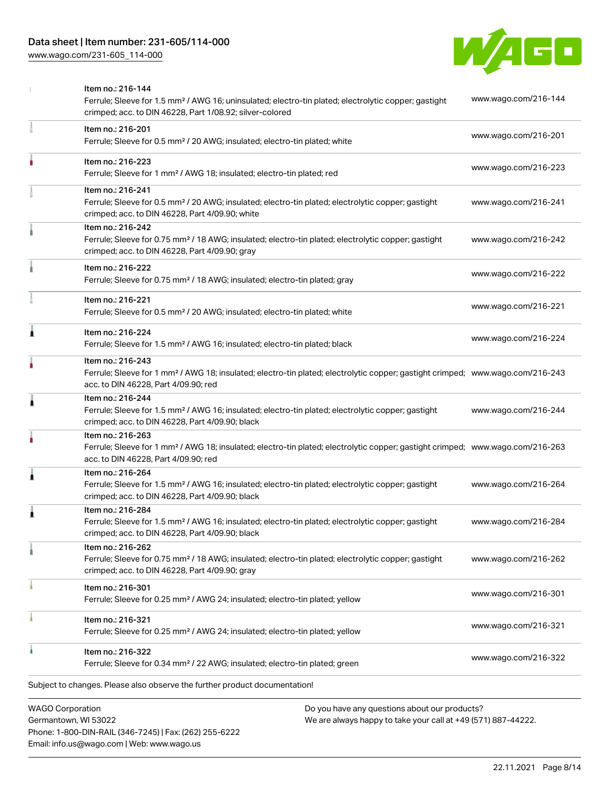### Data sheet | Item number: 231-605/114-000

[www.wago.com/231-605\\_114-000](http://www.wago.com/231-605_114-000)



| <b>WAGO Corporation</b><br>Do you have any questions about our products? |                                                                                                                                                                                                         |                      |
|--------------------------------------------------------------------------|---------------------------------------------------------------------------------------------------------------------------------------------------------------------------------------------------------|----------------------|
|                                                                          | Subject to changes. Please also observe the further product documentation!                                                                                                                              |                      |
|                                                                          | Item no.: 216-322<br>Ferrule; Sleeve for 0.34 mm <sup>2</sup> / 22 AWG; insulated; electro-tin plated; green                                                                                            | www.wago.com/216-322 |
|                                                                          | Item no.: 216-321<br>Ferrule; Sleeve for 0.25 mm <sup>2</sup> / AWG 24; insulated; electro-tin plated; yellow                                                                                           | www.wago.com/216-321 |
|                                                                          | Item no.: 216-301<br>Ferrule; Sleeve for 0.25 mm <sup>2</sup> / AWG 24; insulated; electro-tin plated; yellow                                                                                           | www.wago.com/216-301 |
|                                                                          | Item no.: 216-262<br>Ferrule; Sleeve for 0.75 mm <sup>2</sup> / 18 AWG; insulated; electro-tin plated; electrolytic copper; gastight<br>crimped; acc. to DIN 46228, Part 4/09.90; gray                  | www.wago.com/216-262 |
|                                                                          | Item no.: 216-284<br>Ferrule; Sleeve for 1.5 mm <sup>2</sup> / AWG 16; insulated; electro-tin plated; electrolytic copper; gastight<br>crimped; acc. to DIN 46228, Part 4/09.90; black                  | www.wago.com/216-284 |
| 1                                                                        | Item no.: 216-264<br>Ferrule; Sleeve for 1.5 mm <sup>2</sup> / AWG 16; insulated; electro-tin plated; electrolytic copper; gastight<br>crimped; acc. to DIN 46228, Part 4/09.90; black                  | www.wago.com/216-264 |
|                                                                          | Item no.: 216-263<br>Ferrule; Sleeve for 1 mm <sup>2</sup> / AWG 18; insulated; electro-tin plated; electrolytic copper; gastight crimped; www.wago.com/216-263<br>acc. to DIN 46228, Part 4/09.90; red |                      |
| 1                                                                        | Item no.: 216-244<br>Ferrule; Sleeve for 1.5 mm <sup>2</sup> / AWG 16; insulated; electro-tin plated; electrolytic copper; gastight<br>crimped; acc. to DIN 46228, Part 4/09.90; black                  | www.wago.com/216-244 |
|                                                                          | Item no.: 216-243<br>Ferrule; Sleeve for 1 mm <sup>2</sup> / AWG 18; insulated; electro-tin plated; electrolytic copper; gastight crimped; www.wago.com/216-243<br>acc. to DIN 46228, Part 4/09.90; red |                      |
| Ă                                                                        | Item no.: 216-224<br>Ferrule; Sleeve for 1.5 mm <sup>2</sup> / AWG 16; insulated; electro-tin plated; black                                                                                             | www.wago.com/216-224 |
|                                                                          | Item no.: 216-221<br>Ferrule; Sleeve for 0.5 mm <sup>2</sup> / 20 AWG; insulated; electro-tin plated; white                                                                                             | www.wago.com/216-221 |
|                                                                          | Item no.: 216-222<br>Ferrule; Sleeve for 0.75 mm <sup>2</sup> / 18 AWG; insulated; electro-tin plated; gray                                                                                             | www.wago.com/216-222 |
|                                                                          | Item no.: 216-242<br>Ferrule; Sleeve for 0.75 mm <sup>2</sup> / 18 AWG; insulated; electro-tin plated; electrolytic copper; gastight<br>crimped; acc. to DIN 46228, Part 4/09.90; gray                  | www.wago.com/216-242 |
|                                                                          | Item no.: 216-241<br>Ferrule; Sleeve for 0.5 mm <sup>2</sup> / 20 AWG; insulated; electro-tin plated; electrolytic copper; gastight<br>crimped; acc. to DIN 46228, Part 4/09.90; white                  | www.wago.com/216-241 |
|                                                                          | Item no.: 216-223<br>Ferrule; Sleeve for 1 mm <sup>2</sup> / AWG 18; insulated; electro-tin plated; red                                                                                                 | www.wago.com/216-223 |
|                                                                          | Item no.: 216-201<br>Ferrule; Sleeve for 0.5 mm <sup>2</sup> / 20 AWG; insulated; electro-tin plated; white                                                                                             | www.wago.com/216-201 |
|                                                                          | Item no.: 216-144<br>Ferrule; Sleeve for 1.5 mm <sup>2</sup> / AWG 16; uninsulated; electro-tin plated; electrolytic copper; gastight<br>crimped; acc. to DIN 46228, Part 1/08.92; silver-colored       | www.wago.com/216-144 |

Germantown, WI 53022 Phone: 1-800-DIN-RAIL (346-7245) | Fax: (262) 255-6222 Email: info.us@wago.com | Web: www.wago.us

 $\overline{\phantom{\alpha}}$  any questions about o We are always happy to take your call at +49 (571) 887-44222.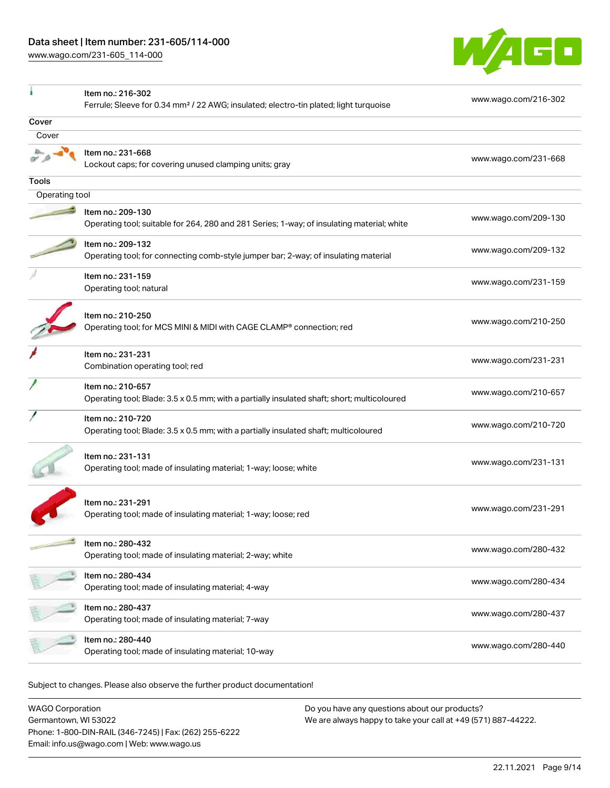[www.wago.com/231-605\\_114-000](http://www.wago.com/231-605_114-000)



|                | Item no.: 216-302<br>Ferrule; Sleeve for 0.34 mm <sup>2</sup> / 22 AWG; insulated; electro-tin plated; light turquoise | www.wago.com/216-302 |
|----------------|------------------------------------------------------------------------------------------------------------------------|----------------------|
| Cover          |                                                                                                                        |                      |
| Cover          |                                                                                                                        |                      |
|                | Item no.: 231-668<br>Lockout caps; for covering unused clamping units; gray                                            | www.wago.com/231-668 |
| Tools          |                                                                                                                        |                      |
| Operating tool |                                                                                                                        |                      |
|                | Item no.: 209-130<br>Operating tool; suitable for 264, 280 and 281 Series; 1-way; of insulating material; white        | www.wago.com/209-130 |
|                | Item no.: 209-132<br>Operating tool; for connecting comb-style jumper bar; 2-way; of insulating material               | www.wago.com/209-132 |
|                | Item no.: 231-159<br>Operating tool; natural                                                                           | www.wago.com/231-159 |
|                | Item no.: 210-250<br>Operating tool; for MCS MINI & MIDI with CAGE CLAMP® connection; red                              | www.wago.com/210-250 |
|                | Item no.: 231-231<br>Combination operating tool; red                                                                   | www.wago.com/231-231 |
|                | Item no.: 210-657<br>Operating tool; Blade: 3.5 x 0.5 mm; with a partially insulated shaft; short; multicoloured       | www.wago.com/210-657 |
|                | Item no.: 210-720<br>Operating tool; Blade: 3.5 x 0.5 mm; with a partially insulated shaft; multicoloured              | www.wago.com/210-720 |
|                | Item no.: 231-131<br>Operating tool; made of insulating material; 1-way; loose; white                                  | www.wago.com/231-131 |
|                | Item no.: 231-291<br>Operating tool; made of insulating material; 1-way; loose; red                                    | www.wago.com/231-291 |
|                | Item no.: 280-432<br>Operating tool; made of insulating material; 2-way; white                                         | www.wago.com/280-432 |
|                | Item no.: 280-434<br>Operating tool; made of insulating material; 4-way                                                | www.wago.com/280-434 |
|                | Item no.: 280-437<br>Operating tool; made of insulating material; 7-way                                                | www.wago.com/280-437 |
|                | Item no.: 280-440<br>Operating tool; made of insulating material; 10-way                                               | www.wago.com/280-440 |

Subject to changes. Please also observe the further product documentation!

WAGO Corporation Germantown, WI 53022 Phone: 1-800-DIN-RAIL (346-7245) | Fax: (262) 255-6222 Email: info.us@wago.com | Web: www.wago.us Do you have any questions about our products? We are always happy to take your call at +49 (571) 887-44222.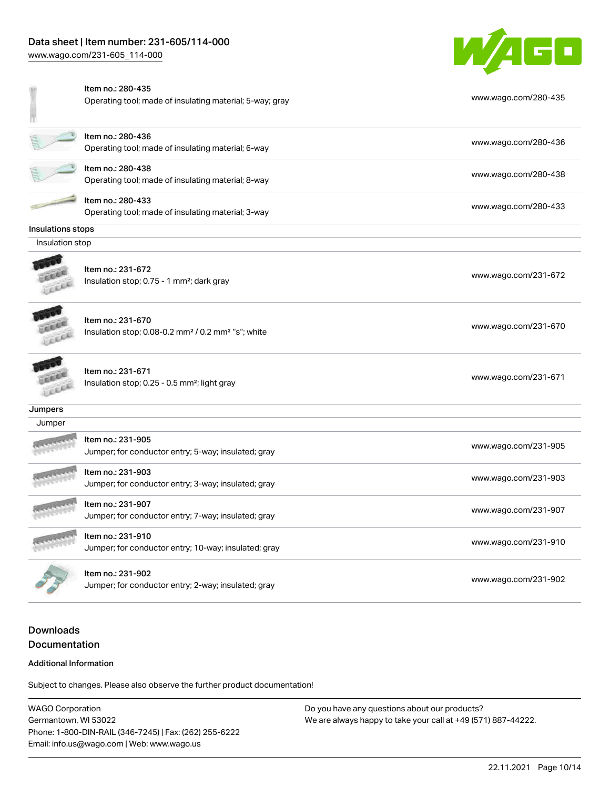# Data sheet | Item number: 231-605/114-000

[www.wago.com/231-605\\_114-000](http://www.wago.com/231-605_114-000)



|                  | Item no.: 280-435<br>Operating tool; made of insulating material; 5-way; gray                   | www.wago.com/280-435 |
|------------------|-------------------------------------------------------------------------------------------------|----------------------|
|                  | Item no.: 280-436<br>Operating tool; made of insulating material; 6-way                         | www.wago.com/280-436 |
|                  | Item no.: 280-438<br>Operating tool; made of insulating material; 8-way                         | www.wago.com/280-438 |
|                  | Item no.: 280-433<br>Operating tool; made of insulating material; 3-way                         | www.wago.com/280-433 |
| nsulations stops |                                                                                                 |                      |
| Insulation stop  |                                                                                                 |                      |
|                  | Item no.: 231-672<br>Insulation stop; 0.75 - 1 mm <sup>2</sup> ; dark gray                      | www.wago.com/231-672 |
|                  | Item no.: 231-670<br>Insulation stop; 0.08-0.2 mm <sup>2</sup> / 0.2 mm <sup>2</sup> "s"; white | www.wago.com/231-670 |
| <b>ALLER</b>     | Item no.: 231-671<br>Insulation stop; 0.25 - 0.5 mm <sup>2</sup> ; light gray                   | www.wago.com/231-671 |
| Jumpers          |                                                                                                 |                      |
| Jumper           |                                                                                                 |                      |
|                  | Item no.: 231-905<br>Jumper; for conductor entry; 5-way; insulated; gray                        | www.wago.com/231-905 |
|                  | Item no.: 231-903<br>Jumper; for conductor entry; 3-way; insulated; gray                        | www.wago.com/231-903 |
|                  | Item no.: 231-907<br>Jumper; for conductor entry; 7-way; insulated; gray                        | www.wago.com/231-907 |
|                  | Item no.: 231-910<br>Jumper; for conductor entry; 10-way; insulated; gray                       | www.wago.com/231-910 |
|                  | Item no.: 231-902<br>Jumper; for conductor entry; 2-way; insulated; gray                        | www.wago.com/231-902 |

# Downloads Documentation

#### Additional Information

Subject to changes. Please also observe the further product documentation!

WAGO Corporation Germantown, WI 53022 Phone: 1-800-DIN-RAIL (346-7245) | Fax: (262) 255-6222 Email: info.us@wago.com | Web: www.wago.us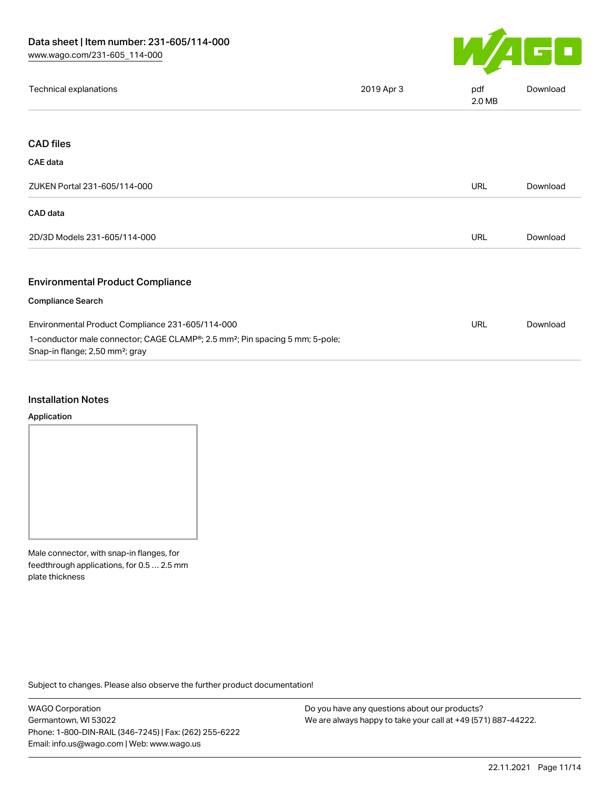

| Technical explanations                                                                                                                  | 2019 Apr 3 | pdf<br>2.0 MB | Download |
|-----------------------------------------------------------------------------------------------------------------------------------------|------------|---------------|----------|
|                                                                                                                                         |            |               |          |
| <b>CAD files</b>                                                                                                                        |            |               |          |
| CAE data                                                                                                                                |            |               |          |
| ZUKEN Portal 231-605/114-000                                                                                                            |            | <b>URL</b>    | Download |
| CAD data                                                                                                                                |            |               |          |
| 2D/3D Models 231-605/114-000                                                                                                            |            | <b>URL</b>    | Download |
| <b>Environmental Product Compliance</b>                                                                                                 |            |               |          |
| <b>Compliance Search</b>                                                                                                                |            |               |          |
| Environmental Product Compliance 231-605/114-000                                                                                        |            | <b>URL</b>    | Download |
| 1-conductor male connector; CAGE CLAMP®; 2.5 mm <sup>2</sup> ; Pin spacing 5 mm; 5-pole;<br>Snap-in flange; 2,50 mm <sup>2</sup> ; gray |            |               |          |

### Installation Notes

#### Application

Male connector, with snap-in flanges, for feedthrough applications, for 0.5 … 2.5 mm plate thickness

Subject to changes. Please also observe the further product documentation!

WAGO Corporation Germantown, WI 53022 Phone: 1-800-DIN-RAIL (346-7245) | Fax: (262) 255-6222 Email: info.us@wago.com | Web: www.wago.us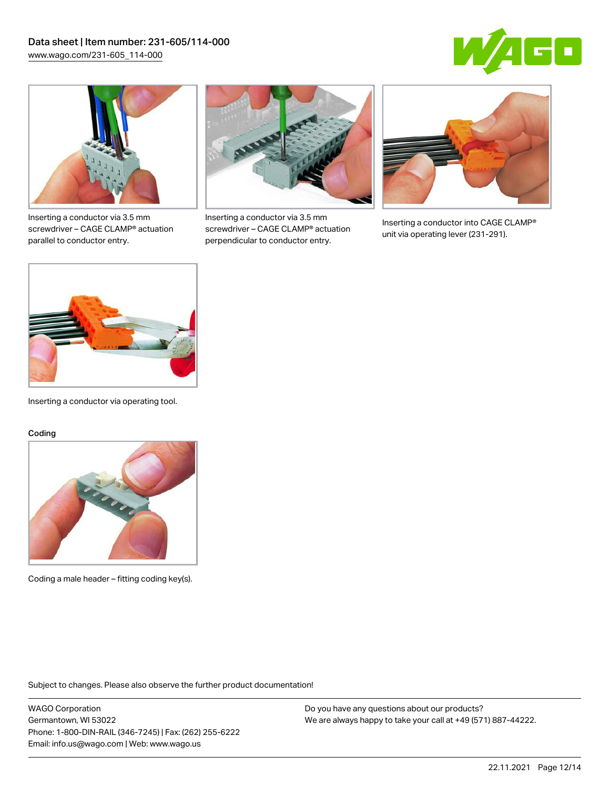



Inserting a conductor via 3.5 mm screwdriver – CAGE CLAMP® actuation parallel to conductor entry.



Inserting a conductor via 3.5 mm screwdriver – CAGE CLAMP® actuation perpendicular to conductor entry.



Inserting a conductor into CAGE CLAMP® unit via operating lever (231-291).



Inserting a conductor via operating tool.

#### Coding



Coding a male header – fitting coding key(s).

Subject to changes. Please also observe the further product documentation!

WAGO Corporation Germantown, WI 53022 Phone: 1-800-DIN-RAIL (346-7245) | Fax: (262) 255-6222 Email: info.us@wago.com | Web: www.wago.us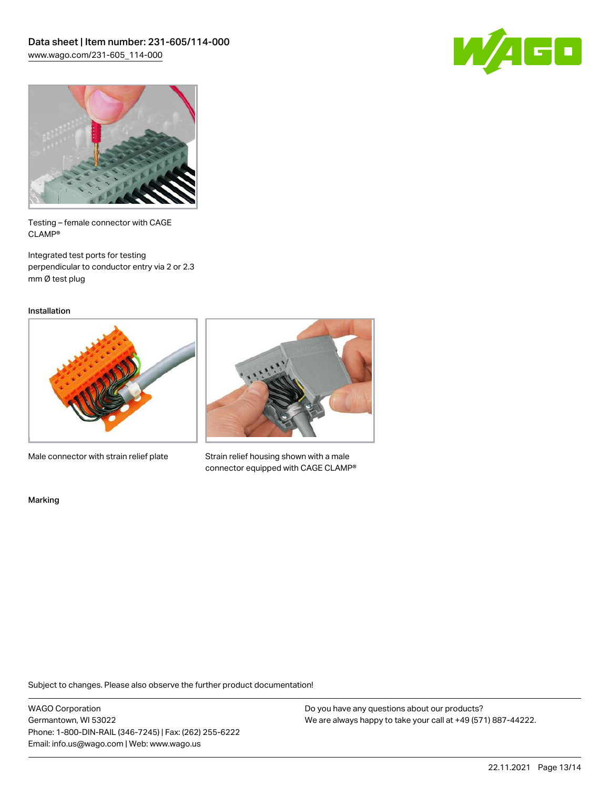



Testing – female connector with CAGE CLAMP®

Integrated test ports for testing perpendicular to conductor entry via 2 or 2.3 mm Ø test plug

Installation



Male connector with strain relief plate



Strain relief housing shown with a male connector equipped with CAGE CLAMP®

Marking

Subject to changes. Please also observe the further product documentation!

WAGO Corporation Germantown, WI 53022 Phone: 1-800-DIN-RAIL (346-7245) | Fax: (262) 255-6222 Email: info.us@wago.com | Web: www.wago.us